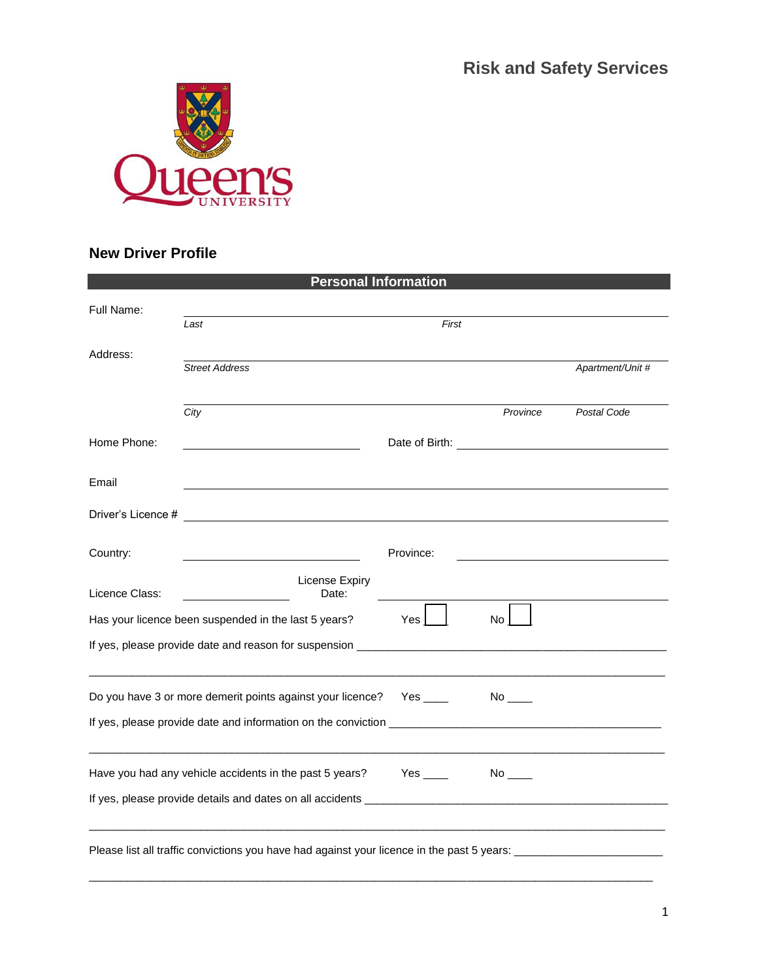**Risk and Safety Services**



## **New Driver Profile**

| <b>Personal Information</b>                                                                                    |                         |                                       |          |                  |  |
|----------------------------------------------------------------------------------------------------------------|-------------------------|---------------------------------------|----------|------------------|--|
| Full Name:                                                                                                     |                         |                                       |          |                  |  |
|                                                                                                                | Last                    | First                                 |          |                  |  |
| Address:                                                                                                       |                         |                                       |          |                  |  |
|                                                                                                                | <b>Street Address</b>   |                                       |          | Apartment/Unit # |  |
|                                                                                                                |                         |                                       |          |                  |  |
|                                                                                                                | City                    |                                       | Province | Postal Code      |  |
| Home Phone:                                                                                                    |                         | Date of Birth: The Contract of Birth: |          |                  |  |
|                                                                                                                |                         |                                       |          |                  |  |
| Email                                                                                                          |                         |                                       |          |                  |  |
|                                                                                                                |                         |                                       |          |                  |  |
| Driver's Licence #                                                                                             |                         |                                       |          |                  |  |
| Country:                                                                                                       |                         | Province:                             |          |                  |  |
|                                                                                                                |                         |                                       |          |                  |  |
| Licence Class:                                                                                                 | License Expiry<br>Date: |                                       |          |                  |  |
| Yes<br>No<br>Has your licence been suspended in the last 5 years?                                              |                         |                                       |          |                  |  |
|                                                                                                                |                         |                                       |          |                  |  |
|                                                                                                                |                         |                                       |          |                  |  |
|                                                                                                                |                         |                                       |          |                  |  |
| Do you have 3 or more demerit points against your licence?                                                     |                         |                                       |          |                  |  |
|                                                                                                                |                         |                                       |          |                  |  |
|                                                                                                                |                         |                                       |          |                  |  |
| Have you had any vehicle accidents in the past 5 years? Yes ____<br>$No$ <sub>____</sub>                       |                         |                                       |          |                  |  |
|                                                                                                                |                         |                                       |          |                  |  |
|                                                                                                                |                         |                                       |          |                  |  |
|                                                                                                                |                         |                                       |          |                  |  |
| Please list all traffic convictions you have had against your licence in the past 5 years: ___________________ |                         |                                       |          |                  |  |

 $\overline{a}$  , and the state of the state of the state of the state of the state of the state of the state of the state of the state of the state of the state of the state of the state of the state of the state of the state o